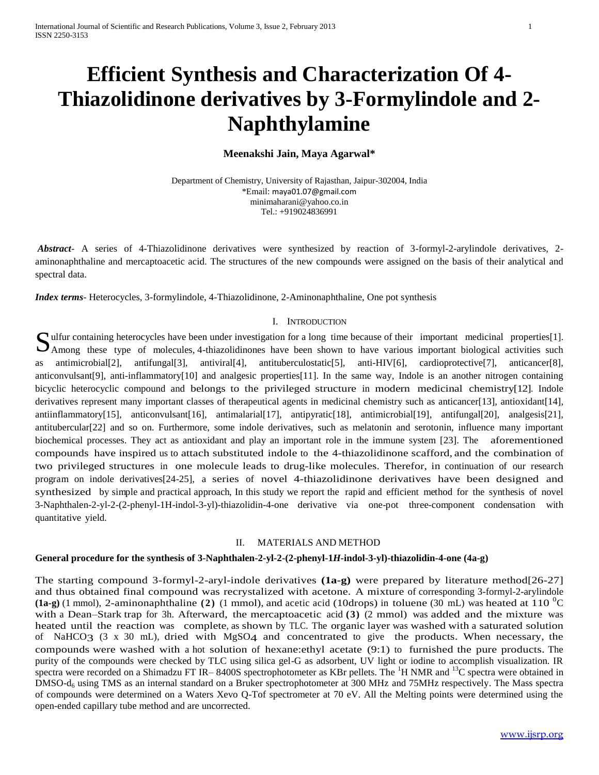# **Efficient Synthesis and Characterization Of 4- Thiazolidinone derivatives by 3-Formylindole and 2- Naphthylamine**

### **Meenakshi Jain, Maya Agarwal\***

Department of Chemistry, University of Rajasthan, Jaipur-302004, India \*Email: [maya01.07@gmail.com](mailto:maya01.07@gmail.com) minimaharani@yahoo.co.in Tel.: +919024836991

*Abstract*- A series of 4-Thiazolidinone derivatives were synthesized by reaction of 3-formyl-2-arylindole derivatives, 2 aminonaphthaline and mercaptoacetic acid. The structures of the new compounds were assigned on the basis of their analytical and spectral data.

*Index terms*- Heterocycles, 3-formylindole, 4-Thiazolidinone, 2-Aminonaphthaline, One pot synthesis

#### I. INTRODUCTION

Sulfur containing heterocycles have been under investigation for a long time because of their important medicinal properties[1].<br>Among these type of molecules, 4-thiazolidinones have been shown to have various important bi  $\Box$  Among these type of molecules, 4-thiazolidinones have been shown to have various important biological activities such as antimicrobial[2], antifungal[3], antiviral[4], antituberculostatic[5], anti-HIV[6], cardioprotective[7], anticancer[8], anticonvulsant[9], anti-inflammatory[10] and analgesic properties[11]. In the same way, Indole is an another nitrogen containing bicyclic heterocyclic compound and belongs to the privileged structure in modern medicinal chemistry[12]. Indole derivatives represent many important classes of therapeutical agents in medicinal chemistry such as anticancer[13], antioxidant[14], antiinflammatory[15], anticonvulsant[16], antimalarial[17], antipyratic[18], antimicrobial[19], antifungal[20], analgesis[21], antitubercular[22] and so on. Furthermore, some indole derivatives, such as melatonin and serotonin, influence many important biochemical processes. They act as antioxidant and play an important role in the immune system [23]. The aforementioned compounds have inspired us to attach substituted indole to the 4-thiazolidinone scafford, and the combination of two privileged structures in one molecule leads to drug-like molecules. Therefor, in continuation of our research program on indole derivatives[24-25], a series of novel 4-thiazolidinone derivatives have been designed and synthesized by simple and practical approach, In this study we report the rapid and efficient method for the synthesis of novel 3-Naphthalen-2-yl-2-(2-phenyl-1H-indol-3-yl)-thiazolidin-4-one derivative via one-pot three-component condensation with quantitative yield.

#### II. MATERIALS AND METHOD

#### **General procedure for the synthesis of 3-Naphthalen-2-yl-2-(2-phenyl-1***H***-indol-3-yl)-thiazolidin-4-one (4a-g)**

The starting compound 3-formyl-2-aryl-indole derivatives **(1a-g)** were prepared by literature method[26-27] and thus obtained final compound was recrystalized with acetone. A mixture of corresponding 3-formyl-2-arylindole **(1a-g)** (1 mmol), 2-aminonaphthaline **(2)** (1 mmol), and acetic acid (10drops) in toluene (30 mL) was heated at 110  $^{\circ}$ C with a Dean–Stark trap for 3h. Afterward, the mercaptoacetic acid **(3)** (2 mmol) was added and the mixture was heated until the reaction was complete, as shown by TLC. The organic layer was washed with a saturated solution of NaHCO3 (3 x 30 mL), dried with MgSO4 and concentrated to give the products. When necessary, the compounds were washed with a hot solution of hexane:ethyl acetate (9:1) to furnished the pure products. The purity of the compounds were checked by TLC using silica gel-G as adsorbent, UV light or iodine to accomplish visualization. IR spectra were recorded on a Shimadzu FT IR–8400S spectrophotometer as KBr pellets. The <sup>1</sup>H NMR and <sup>13</sup>C spectra were obtained in DMSO-d<sub>6</sub> using TMS as an internal standard on a Bruker spectrophotometer at 300 MHz and 75MHz respectively. The Mass spectra of compounds were determined on a Waters Xevo Q-Tof spectrometer at 70 eV. All the Melting points were determined using the open-ended capillary tube method and are uncorrected.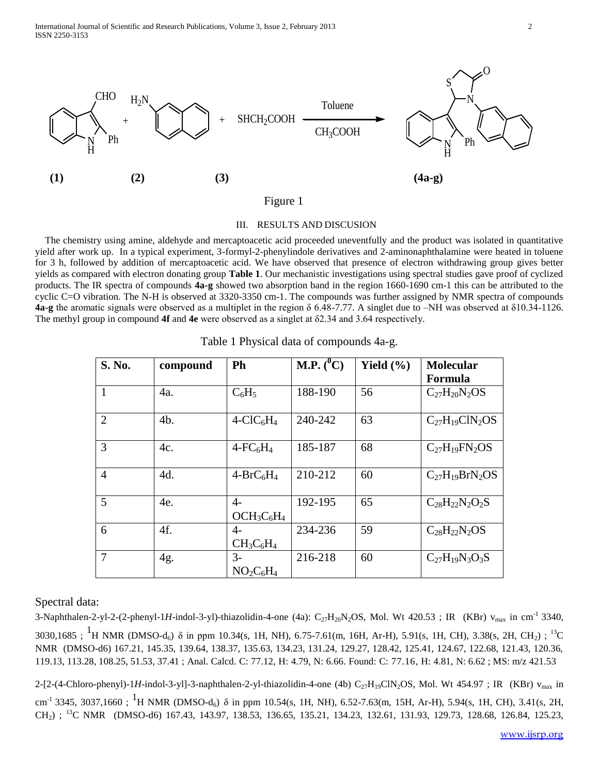

## Figure 1

#### III. RESULTS AND DISCUSION

 The chemistry using amine, aldehyde and mercaptoacetic acid proceeded uneventfully and the product was isolated in quantitative yield after work up. In a typical experiment, 3-formyl-2-phenylindole derivatives and 2-aminonaphthalamine were heated in toluene for 3 h, followed by addition of mercaptoacetic acid. We have observed that presence of electron withdrawing group gives better yields as compared with electron donating group **Table 1**. Our mechanistic investigations using spectral studies gave proof of cyclized products. The IR spectra of compounds **4a-g** showed two absorption band in the region 1660-1690 cm-1 this can be attributed to the cyclic C=O vibration. The N-H is observed at 3320-3350 cm-1. The compounds was further assigned by NMR spectra of compounds **4a-g** the aromatic signals were observed as a multiplet in the region δ 6.48-7.77. A singlet due to –NH was observed at δ10.34-1126. The methyl group in compound **4f** and **4e** were observed as a singlet at δ2.34 and 3.64 respectively.

| S. No.         | compound       | <b>Ph</b>                   | M.P. $(^0C)$ | Yield $(\% )$ | <b>Molecular</b><br>Formula |
|----------------|----------------|-----------------------------|--------------|---------------|-----------------------------|
| 1              | 4a.            | $C_6H_5$                    | 188-190      | 56            | $C_{27}H_{20}N_2OS$         |
| $\overline{2}$ | 4 <sub>b</sub> | $4-CIC6H4$                  | 240-242      | 63            | $C_{27}H_{19}C1N_2OS$       |
| 3              | 4c.            | $4$ -FC $_6$ H <sub>4</sub> | 185-187      | 68            | $C_{27}H_{19}FN_2OS$        |
| $\overline{4}$ | 4d.            | $4-BrC_6H_4$                | 210-212      | 60            | $C_{27}H_{19}BrN_2OS$       |
| 5              | 4e.            | $4-$<br>$OCH3C6H4$          | 192-195      | 65            | $C_{28}H_{22}N_2O_2S$       |
| 6              | 4f.            | $4-$<br>$CH_3C_6H_4$        | 234-236      | 59            | $C_{28}H_{22}N_2OS$         |
| $\tau$         | 4g.            | $3-$<br>$NO2C6H4$           | 216-218      | 60            | $C_{27}H_{19}N_3O_3S$       |

| Table 1 Physical data of compounds 4a-g. |  |  |  |  |  |
|------------------------------------------|--|--|--|--|--|
|------------------------------------------|--|--|--|--|--|

## Spectral data:

3-Naphthalen-2-yl-2-(2-phenyl-1H-indol-3-yl)-thiazolidin-4-one (4a):  $C_{27}H_{20}N_2OS$ , Mol. Wt 420.53; IR (KBr) v<sub>max</sub> in cm<sup>-1</sup> 3340, 3030,1685; <sup>1</sup>H NMR (DMSO-d<sub>6</sub>) δ in ppm 10.34(s, 1H, NH), 6.75-7.61(m, 16H, Ar-H), 5.91(s, 1H, CH), 3.38(s, 2H, CH<sub>2</sub>); <sup>13</sup>C NMR (DMSO-d6) 167.21, 145.35, 139.64, 138.37, 135.63, 134.23, 131.24, 129.27, 128.42, 125.41, 124.67, 122.68, 121.43, 120.36, 119.13, 113.28, 108.25, 51.53, 37.41 ; Anal. Calcd. C: 77.12, H: 4.79, N: 6.66. Found: C: 77.16, H: 4.81, N: 6.62 ; MS: m/z 421.53

2-[2-(4-Chloro-phenyl)-1H-indol-3-yl]-3-naphthalen-2-yl-thiazolidin-4-one (4b)  $C_{27}H_{19}CN_2OS$ , Mol. Wt 454.97; IR (KBr)  $v_{max}$  in cm<sup>-1</sup> 3345, 3037,1660; <sup>1</sup>H NMR (DMSO-d<sub>6</sub>) δ in ppm 10.54(s, 1H, NH), 6.52-7.63(m, 15H, Ar-H), 5.94(s, 1H, CH), 3.41(s, 2H, CH2) ; <sup>13</sup>C NMR (DMSO-d6) 167.43, 143.97, 138.53, 136.65, 135.21, 134.23, 132.61, 131.93, 129.73, 128.68, 126.84, 125.23,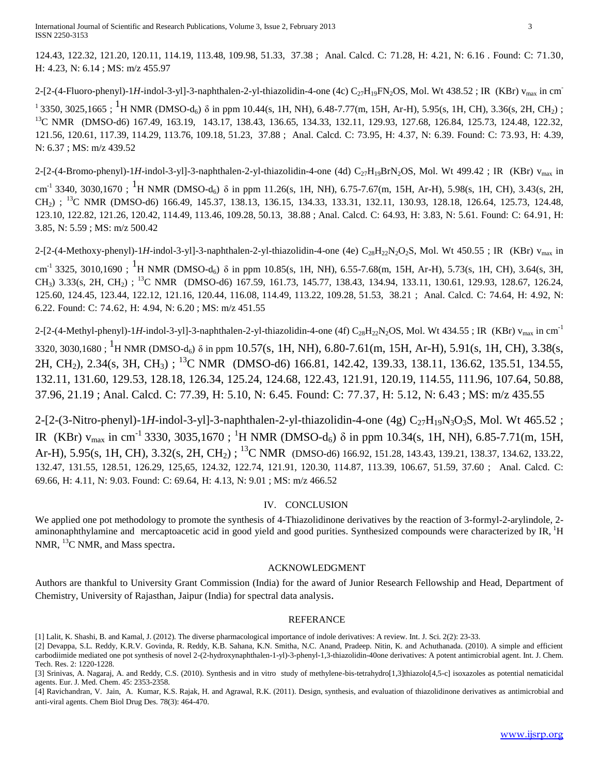124.43, 122.32, 121.20, 120.11, 114.19, 113.48, 109.98, 51.33, 37.38 ; Anal. Calcd. C: 71.28, H: 4.21, N: 6.16 . Found: C: 71.30, H: 4.23, N: 6.14 ; MS: m/z 455.97

2-[2-(4-Fluoro-phenyl)-1H-indol-3-yl]-3-naphthalen-2-yl-thiazolidin-4-one (4c)  $C_{27}H_{19}FN_2OS$ , Mol. Wt 438.52; IR (KBr)  $v_{max}$  in cm<sup>-</sup> <sup>1</sup> 3350, 3025,1665; <sup>1</sup>H NMR (DMSO-d<sub>6</sub>) δ in ppm 10.44(s, 1H, NH), 6.48-7.77(m, 15H, Ar-H), 5.95(s, 1H, CH), 3.36(s, 2H, CH<sub>2</sub>); <sup>13</sup>C NMR (DMSO-d6) 167.49, 163.19, 143.17, 138.43, 136.65, 134.33, 132.11, 129.93, 127.68, 126.84, 125.73, 124.48, 122.32, 121.56, 120.61, 117.39, 114.29, 113.76, 109.18, 51.23, 37.88 ; Anal. Calcd. C: 73.95, H: 4.37, N: 6.39. Found: C: 73.93, H: 4.39, N: 6.37 ; MS: m/z 439.52

 $2-[2-(4-Bromo-phenyl)-1H-indol-3-y]$ -3-naphthalen-2-yl-thiazolidin-4-one (4d)  $C_{27}H_{19}BrN_2OS$ , Mol. Wt 499.42 ; IR (KBr) v<sub>max</sub> in

cm<sup>-1</sup> 3340, 3030,1670; <sup>1</sup>H NMR (DMSO-d<sub>6</sub>) δ in ppm 11.26(s, 1H, NH), 6.75-7.67(m, 15H, Ar-H), 5.98(s, 1H, CH), 3.43(s, 2H, CH<sub>2</sub>) ; <sup>13</sup>C NMR (DMSO-d6) 166.49, 145.37, 138.13, 136.15, 134.33, 133.31, 132.11, 130.93, 128.18, 126.64, 125.73, 124.48, 123.10, 122.82, 121.26, 120.42, 114.49, 113.46, 109.28, 50.13, 38.88 ; Anal. Calcd. C: 64.93, H: 3.83, N: 5.61. Found: C: 64.91, H: 3.85, N: 5.59 ; MS: m/z 500.42

2-[2-(4-Methoxy-phenyl)-1*H*-indol-3-yl]-3-naphthalen-2-yl-thiazolidin-4-one (4e)  $C_{28}H_{22}N_2O_2S$ , Mol. Wt 450.55; IR (KBr) v<sub>max</sub> in

cm<sup>-1</sup> 3325, 3010,1690; <sup>1</sup>H NMR (DMSO-d<sub>6</sub>) δ in ppm 10.85(s, 1H, NH), 6.55-7.68(m, 15H, Ar-H), 5.73(s, 1H, CH), 3.64(s, 3H, CH<sub>3</sub>) 3.33(s, 2H, CH<sub>2</sub>); <sup>13</sup>C NMR (DMSO-d6) 167.59, 161.73, 145.77, 138.43, 134.94, 133.11, 130.61, 129.93, 128.67, 126.24, 125.60, 124.45, 123.44, 122.12, 121.16, 120.44, 116.08, 114.49, 113.22, 109.28, 51.53, 38.21 ; Anal. Calcd. C: 74.64, H: 4.92, N: 6.22. Found: C: 74.62, H: 4.94, N: 6.20 ; MS: m/z 451.55

2-[2-(4-Methyl-phenyl)-1*H*-indol-3-yl]-3-naphthalen-2-yl-thiazolidin-4-one (4f) C<sub>28</sub>H<sub>22</sub>N<sub>2</sub>OS, Mol. Wt 434.55; IR (KBr) v<sub>max</sub> in cm<sup>-1</sup> 3320, 3030,1680 ; <sup>1</sup>H NMR (DMSO-d<sub>6</sub>)  $\delta$  in ppm 10.57(s, 1H, NH), 6.80-7.61(m, 15H, Ar-H), 5.91(s, 1H, CH), 3.38(s, 2H, CH<sub>2</sub>), 2.34(s, 3H, CH<sub>3</sub>); <sup>13</sup>C NMR (DMSO-d6) 166.81, 142.42, 139.33, 138.11, 136.62, 135.51, 134.55, 132.11, 131.60, 129.53, 128.18, 126.34, 125.24, 124.68, 122.43, 121.91, 120.19, 114.55, 111.96, 107.64, 50.88, 37.96, 21.19 ; Anal. Calcd. C: 77.39, H: 5.10, N: 6.45. Found: C: 77.37, H: 5.12, N: 6.43 ; MS: m/z 435.55

2-[2-(3-Nitro-phenyl)-1H-indol-3-yl]-3-naphthalen-2-yl-thiazolidin-4-one (4g) C<sub>27</sub>H<sub>19</sub>N<sub>3</sub>O<sub>3</sub>S, Mol. Wt 465.52; IR (KBr) v<sub>max</sub> in cm<sup>-1</sup> 3330, 3035,1670; <sup>1</sup>H NMR (DMSO-d<sub>6</sub>) δ in ppm 10.34(s, 1H, NH), 6.85-7.71(m, 15H, Ar-H), 5.95(s, 1H, CH), 3.32(s, 2H, CH<sub>2</sub>); <sup>13</sup>C NMR (DMSO-d6) 166.92, 151.28, 143.43, 139.21, 138.37, 134.62, 133.22, 132.47, 131.55, 128.51, 126.29, 125,65, 124.32, 122.74, 121.91, 120.30, 114.87, 113.39, 106.67, 51.59, 37.60 ; Anal. Calcd. C: 69.66, H: 4.11, N: 9.03. Found: C: 69.64, H: 4.13, N: 9.01 ; MS: m/z 466.52

#### IV. CONCLUSION

We applied one pot methodology to promote the synthesis of 4-Thiazolidinone derivatives by the reaction of 3-formyl-2-arylindole, 2aminonaphthylamine and mercaptoacetic acid in good yield and good purities. Synthesized compounds were characterized by IR, <sup>1</sup>H NMR, <sup>13</sup>C NMR, and Mass spectra.

#### ACKNOWLEDGMENT

Authors are thankful to University Grant Commission (India) for the award of Junior Research Fellowship and Head, Department of Chemistry, University of Rajasthan, Jaipur (India) for spectral data analysis.

#### REFERANCE

[4[\] Ravichandran,](http://www.ncbi.nlm.nih.gov/pubmed?term=Ravichandran%20V%5BAuthor%5D&cauthor=true&cauthor_uid=21615706) V. [Jain, A.](http://www.ncbi.nlm.nih.gov/pubmed?term=Jain%20A%5BAuthor%5D&cauthor=true&cauthor_uid=21615706) [Kumar, K.S.](http://www.ncbi.nlm.nih.gov/pubmed?term=Kumar%20KS%5BAuthor%5D&cauthor=true&cauthor_uid=21615706) [Rajak,](http://www.ncbi.nlm.nih.gov/pubmed?term=Rajak%20H%5BAuthor%5D&cauthor=true&cauthor_uid=21615706) H. and [Agrawal,](http://www.ncbi.nlm.nih.gov/pubmed?term=Agrawal%20RK%5BAuthor%5D&cauthor=true&cauthor_uid=21615706) R.K. (2011). Design, synthesis, and evaluation of thiazolidinone derivatives as antimicrobial and anti-viral agents. [Chem Biol Drug Des.](http://www.ncbi.nlm.nih.gov/pubmed/21615706?report=abstract) 78(3): 464-470.

<sup>[1]</sup> Lalit, K. Shashi, B. and Kamal, J. (2012). The diverse pharmacological importance of indole derivatives: A review. Int. J. Sci. 2(2): 23-33.

<sup>[2]</sup> Devappa, S.L. Reddy, K.R.V. Govinda, R. Reddy, K.B. Sahana, K.N. Smitha, N.C. Anand, Pradeep. Nitin, K. and Achuthanada. (2010). A simple and efficient carbodiimide mediated one pot synthesis of novel 2-(2-hydroxynaphthalen-1-yl)-3-phenyl-1,3-thiazolidin-40one derivatives: A potent antimicrobial agent. Int. J. Chem. Tech. Res. 2: 1220-1228.

<sup>[3]</sup> Srinivas, A. Nagaraj, A. and Reddy, C.S. (2010). Synthesis and in vitro study of methylene-bis-tetrahydro[1,3]thiazolo[4,5-c] isoxazoles as potential nematicidal agents. Eur. J. Med. Chem. 45: 2353-2358.